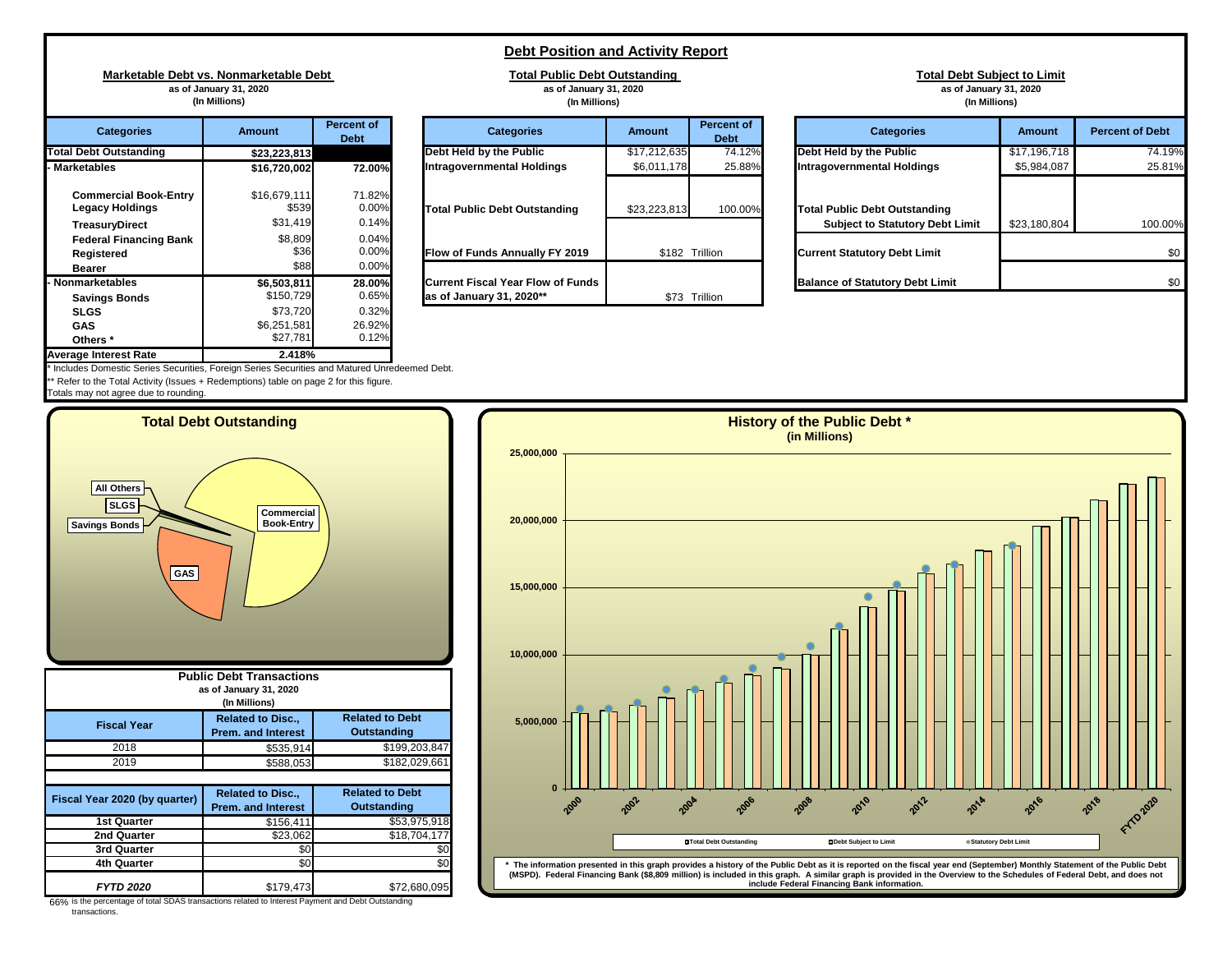## **Debt Position and Activity Report**

**Total Public Debt Outstanding as of January 31, 2020**

**Marketable Debt vs. Nonmarketable Debt as of January 31, 2020 (In Millions)**

| <b>Categories</b>                                                                                                | <b>Amount</b>                                | <b>Percent of</b><br><b>Debt</b>  | <b>Categories</b>                                             | <b>Amount</b> | Perc<br>D      |
|------------------------------------------------------------------------------------------------------------------|----------------------------------------------|-----------------------------------|---------------------------------------------------------------|---------------|----------------|
| <b>Total Debt Outstanding</b>                                                                                    | \$23,223,813                                 |                                   | Debt Held by the Public                                       | \$17,212,635  |                |
| <b>Marketables</b>                                                                                               | \$16,720,002                                 | <b>72.00%</b>                     | <b>Intragovernmental Holdings</b>                             | \$6,011,178   |                |
| <b>Commercial Book-Entry</b><br><b>Legacy Holdings</b><br><b>TreasuryDirect</b><br><b>Federal Financing Bank</b> | \$16,679,111<br>\$539<br>\$31,419<br>\$8,809 | 71.82%<br>0.00%<br>0.14%<br>0.04% | <b>Total Public Debt Outstanding</b>                          | \$23,223,813  |                |
| <b>Registered</b>                                                                                                | \$36                                         | 0.00%                             | Flow of Funds Annually FY 2019                                |               | \$182 Trillion |
| <b>Bearer</b>                                                                                                    | \$88                                         | 0.00%                             |                                                               |               |                |
| · Nonmarketables<br><b>Savings Bonds</b>                                                                         | \$6,503,811<br>\$150,729                     | 28.00%<br>0.65%                   | Current Fiscal Year Flow of Funds<br>as of January 31, 2020** | \$73          | Trillion       |
| <b>SLGS</b>                                                                                                      | \$73,720                                     | 0.32%                             |                                                               |               |                |
| <b>GAS</b>                                                                                                       | \$6,251,581                                  | 26.92%                            |                                                               |               |                |
| Others <sup>*</sup>                                                                                              | \$27,781                                     | 0.12%                             |                                                               |               |                |
| <b>Average Interest Rate</b>                                                                                     | 2.418%                                       |                                   |                                                               |               |                |

|                                                                                                                   | (In Millions)                     |                               | (In Millions)                                                        |              |                                  |                                                                          |
|-------------------------------------------------------------------------------------------------------------------|-----------------------------------|-------------------------------|----------------------------------------------------------------------|--------------|----------------------------------|--------------------------------------------------------------------------|
| <b>Percent of</b><br><b>Categories</b><br><b>Amount</b><br><b>Debt</b><br><b>Debt Outstanding</b><br>\$23,223,813 |                                   |                               | <b>Categories</b>                                                    | Amount       | <b>Percent of</b><br><b>Debt</b> | <b>Categories</b>                                                        |
|                                                                                                                   |                                   |                               | Debt Held by the Public                                              | \$17,212,635 | 74.12%                           | Debt Held by the Public                                                  |
| ketables                                                                                                          | \$16,720,002                      | 72.00%                        | Intragovernmental Holdings                                           | \$6,011,178  | 25.88%                           | Intragovernmental Holdings                                               |
| <b>Commercial Book-Entry</b><br>Legacy Holdings<br>TreasuryDirect                                                 | \$16,679,111<br>\$539<br>\$31,419 | 71.82%<br>0.00%<br>0.14%      | <b>Total Public Debt Outstanding</b>                                 | \$23,223,813 | 100.00%                          | <b>Total Public Debt Outstanding</b><br><b>Subject to Statutory Debt</b> |
| <b>Federal Financing Bank</b><br>Registered<br><b>Bearer</b>                                                      | \$8,809<br>\$36<br>\$88           | 0.04%<br>$0.00\%$<br>$0.00\%$ | Flow of Funds Annually FY 2019                                       |              | \$182 Trillion                   | <b>Current Statutory Debt Limit</b>                                      |
| <b>marketables</b><br><b>Savings Bonds</b>                                                                        | \$6,503,811<br>\$150,729          | 28.00%<br>0.65%               | <b>Current Fiscal Year Flow of Funds</b><br>as of January 31, 2020** |              | \$73 Trillion                    | <b>Balance of Statutory Debt Lim</b>                                     |
|                                                                                                                   | $\cdots$                          | -----                         |                                                                      |              |                                  |                                                                          |

|                                                                          | (In Millions)                     |                                  | (In Millions)                                                                 |                          |                                  | (In Millions)                                                                  |               |                        |  |  |
|--------------------------------------------------------------------------|-----------------------------------|----------------------------------|-------------------------------------------------------------------------------|--------------------------|----------------------------------|--------------------------------------------------------------------------------|---------------|------------------------|--|--|
| <b>Categories</b>                                                        | <b>Amount</b>                     | <b>Percent of</b><br><b>Debt</b> | <b>Categories</b>                                                             | <b>Amount</b>            | <b>Percent of</b><br><b>Debt</b> | <b>Categories</b>                                                              | <b>Amount</b> | <b>Percent of Debt</b> |  |  |
| <b>Debt Outstanding</b>                                                  | \$23,223,813                      |                                  | Debt Held by the Public                                                       | $\overline{317,212,635}$ | 74.12%                           | Debt Held by the Public                                                        | \$17,196,718  | 74.19%                 |  |  |
| ketables                                                                 | \$16,720,002                      | 72.00%                           | Intragovernmental Holdings                                                    | \$6,011,178              | 25.88%                           | <b>Intragovernmental Holdings</b>                                              | \$5,984,087   | 25.81%                 |  |  |
| <b>Commercial Book-Entry</b><br><b>Legacy Holdings</b><br>TreasuryDirect | \$16,679,111<br>\$539<br>\$31,419 | 71.82%<br>0.00%<br>0.14%         | <b>Total Public Debt Outstanding</b>                                          | \$23,223,813             | 100.00%                          | <b>Total Public Debt Outstanding</b><br><b>Subject to Statutory Debt Limit</b> | \$23,180,804  | 100.00%                |  |  |
| <b>Federal Financing Bank</b><br>Registered<br>Bearer                    | \$8,809<br>\$36<br>\$88           | 0.04%<br>0.00%<br>0.00%          | <b>Flow of Funds Annually FY 2019</b>                                         | \$182 Trillion           |                                  | <b>Current Statutory Debt Limit</b>                                            | \$0           |                        |  |  |
| ımarketables<br>Covingo Dando                                            | \$6,503,811<br>\$150729           | 28.00%<br>0 65%                  | <b>Current Fiscal Year Flow of Funds</b><br>$\lambda$ se of January 31 2020** |                          | <b>473 Trillion</b>              | <b>Balance of Statutory Debt Limit</b>                                         |               | \$0                    |  |  |

**Total Debt Subject to Limit as of January 31, 2020**

Includes Domestic Series Securities, Foreign Series Securities and Matured Unredeemed Debt. Refer to the Total Activity (Issues + Redemptions) table on page 2 for this figure.

Totals may not agree due to rounding.





66% is the percentage of total SDAS transactions related to Interest Payment and Debt Outstanding transactions.